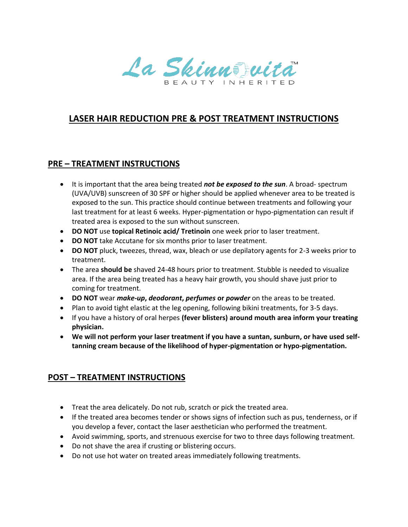La Skinnstwitch

## **LASER HAIR REDUCTION PRE & POST TREATMENT INSTRUCTIONS**

## **PRE – TREATMENT INSTRUCTIONS**

- It is important that the area being treated *not be exposed to the sun*. A broad- spectrum (UVA/UVB) sunscreen of 30 SPF or higher should be applied whenever area to be treated is exposed to the sun. This practice should continue between treatments and following your last treatment for at least 6 weeks. Hyper-pigmentation or hypo-pigmentation can result if treated area is exposed to the sun without sunscreen.
- **DO NOT** use **topical Retinoic acid/ Tretinoin** one week prior to laser treatment.
- **DO NOT** take Accutane for six months prior to laser treatment.
- **DO NOT** pluck, tweezes, thread, wax, bleach or use depilatory agents for 2-3 weeks prior to treatment.
- The area **should be** shaved 24-48 hours prior to treatment. Stubble is needed to visualize area. If the area being treated has a heavy hair growth, you should shave just prior to coming for treatment.
- **DO NOT** wear *make-up***,** *deodorant***,** *perfumes* **or** *powder* on the areas to be treated.
- Plan to avoid tight elastic at the leg opening, following bikini treatments, for 3-5 days.
- If you have a history of oral herpes **(fever blisters) around mouth area inform your treating physician.**
- **We will not perform your laser treatment if you have a suntan, sunburn, or have used selftanning cream because of the likelihood of hyper-pigmentation or hypo-pigmentation.**

## **POST – TREATMENT INSTRUCTIONS**

- Treat the area delicately. Do not rub, scratch or pick the treated area.
- If the treated area becomes tender or shows signs of infection such as pus, tenderness, or if you develop a fever, contact the laser aesthetician who performed the treatment.
- Avoid swimming, sports, and strenuous exercise for two to three days following treatment.
- Do not shave the area if crusting or blistering occurs.
- Do not use hot water on treated areas immediately following treatments.